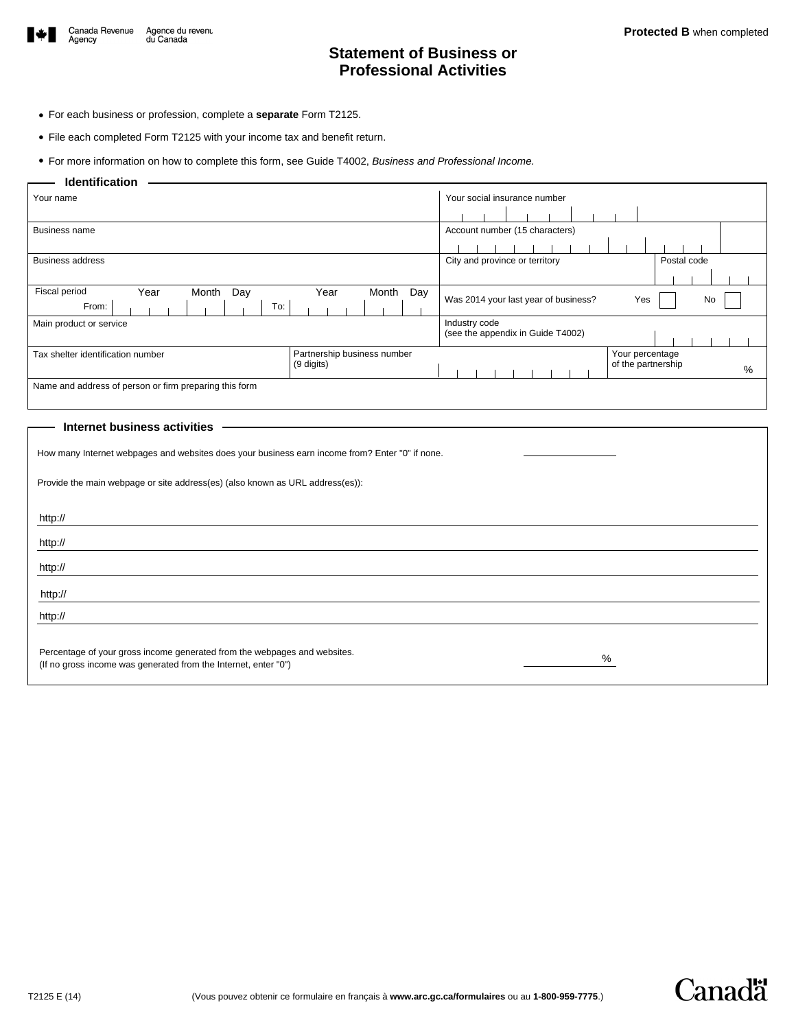

# **Statement of Business or Professional Activities**

- For each business or profession, complete a **separate** Form T2125.
- File each completed Form T2125 with your income tax and benefit return.

• For more information on how to complete this form, see Guide T4002, *Business and Professional Income.*

### **Identification**

| Your name                                                                      | Your social insurance number |                                                    |  |  |  |
|--------------------------------------------------------------------------------|------------------------------|----------------------------------------------------|--|--|--|
|                                                                                |                              |                                                    |  |  |  |
| <b>Business name</b>                                                           |                              | Account number (15 characters)                     |  |  |  |
|                                                                                |                              |                                                    |  |  |  |
| <b>Business address</b>                                                        |                              | City and province or territory<br>Postal code      |  |  |  |
|                                                                                |                              |                                                    |  |  |  |
| Fiscal period<br>Month<br>Year<br>Month<br>Day<br>Year<br>Day<br>To:<br>From:  |                              | Was 2014 your last year of business?<br>No<br>Yes  |  |  |  |
| Main product or service                                                        |                              | Industry code<br>(see the appendix in Guide T4002) |  |  |  |
| Partnership business number<br>Tax shelter identification number<br>(9 digits) |                              | Your percentage<br>of the partnership<br>%         |  |  |  |
| Name and address of person or firm preparing this form                         |                              |                                                    |  |  |  |
|                                                                                |                              |                                                    |  |  |  |

### **Internet business activities**

|  |  |  | How many Internet webpages and websites does your business earn income from? Enter "0" if none. |  |
|--|--|--|-------------------------------------------------------------------------------------------------|--|
|  |  |  |                                                                                                 |  |
|  |  |  |                                                                                                 |  |

Provide the main webpage or site address(es) (also known as URL address(es)):

| http://                                                                                                                                           |
|---------------------------------------------------------------------------------------------------------------------------------------------------|
| http://                                                                                                                                           |
| http://                                                                                                                                           |
| http://                                                                                                                                           |
| http://                                                                                                                                           |
| Percentage of your gross income generated from the webpages and websites.<br>%<br>(If no gross income was generated from the Internet, enter "0") |

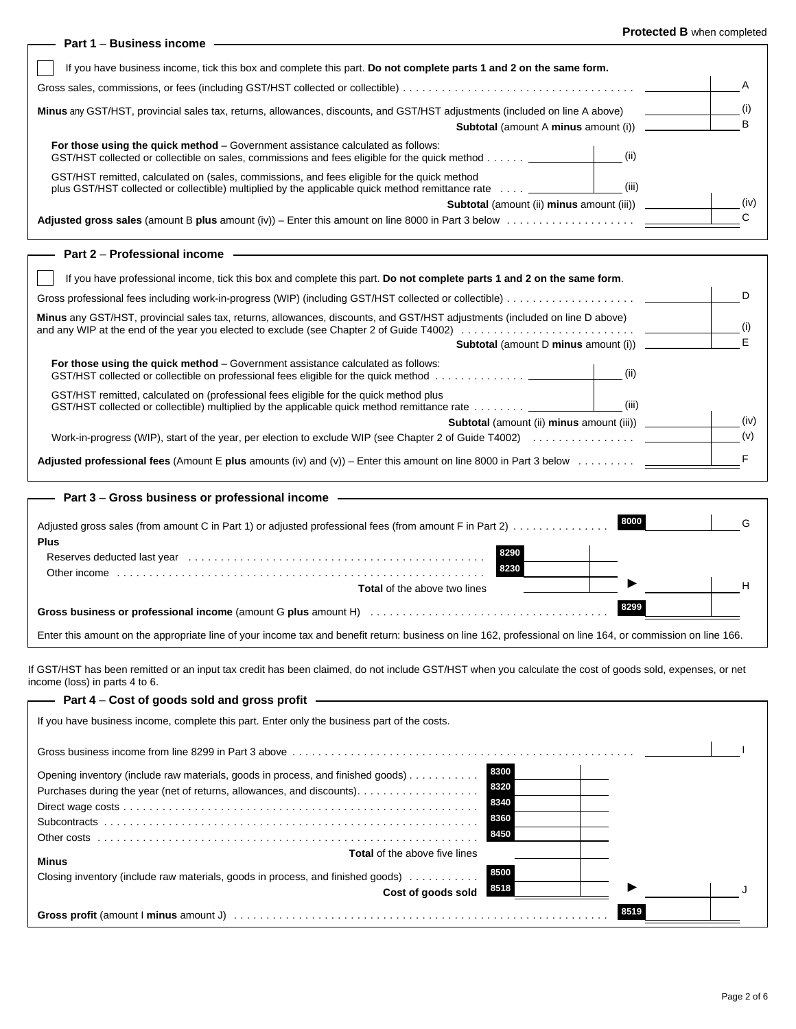### **Protected B** when completed

| Part 1 – Business income                                                                                                                                                                                 | <b>FIGGCLEG B</b> WILELI COMPLETED |
|----------------------------------------------------------------------------------------------------------------------------------------------------------------------------------------------------------|------------------------------------|
| If you have business income, tick this box and complete this part. Do not complete parts 1 and 2 on the same form.                                                                                       |                                    |
|                                                                                                                                                                                                          | A                                  |
| Minus any GST/HST, provincial sales tax, returns, allowances, discounts, and GST/HST adjustments (included on line A above)                                                                              |                                    |
|                                                                                                                                                                                                          | B                                  |
| <b>For those using the quick method</b> – Government assistance calculated as follows:<br>GST/HST collected or collectible on sales, commissions and fees eligible for the quick method __________       |                                    |
| GST/HST remitted, calculated on (sales, commissions, and fees eligible for the quick method<br>(iii)<br>plus GST/HST collected or collectible) multiplied by the applicable quick method remittance rate |                                    |
| <b>Subtotal</b> (amount (ii) <b>minus</b> amount (iii))                                                                                                                                                  | (iv)                               |
|                                                                                                                                                                                                          |                                    |
| Part 2 – Professional income                                                                                                                                                                             |                                    |
| If you have professional income, tick this box and complete this part. Do not complete parts 1 and 2 on the same form.                                                                                   |                                    |
|                                                                                                                                                                                                          |                                    |

| Minus any GST/HST, provincial sales tax, returns, allowances, discounts, and GST/HST adjustments (included on line D above)                                                                                                                                                                                                                                                                                                                                                                                                                                                                         |      |  |
|-----------------------------------------------------------------------------------------------------------------------------------------------------------------------------------------------------------------------------------------------------------------------------------------------------------------------------------------------------------------------------------------------------------------------------------------------------------------------------------------------------------------------------------------------------------------------------------------------------|------|--|
| <b>Subtotal</b> (amount D minus amount (i))                                                                                                                                                                                                                                                                                                                                                                                                                                                                                                                                                         |      |  |
| For those using the quick method – Government assistance calculated as follows:<br>(ii)<br>GST/HST collected or collectible on professional fees eligible for the quick method                                                                                                                                                                                                                                                                                                                                                                                                                      |      |  |
| GST/HST remitted, calculated on (professional fees eligible for the quick method plus<br>(III)<br>GST/HST collected or collectible) multiplied by the applicable quick method remittance rate $\ldots \ldots \ldots$                                                                                                                                                                                                                                                                                                                                                                                |      |  |
| <b>Subtotal</b> (amount (ii) <b>minus</b> amount (iii))                                                                                                                                                                                                                                                                                                                                                                                                                                                                                                                                             | (iv) |  |
| Work-in-progress (WIP), start of the year, per election to exclude WIP (see Chapter 2 of Guide T4002)                                                                                                                                                                                                                                                                                                                                                                                                                                                                                               |      |  |
| Adjusted professional fees (Amount E plus amounts (iv) and $(v)$ ) – Enter this amount on line 8000 in Part 3 below<br>$\mathcal{L}^{\mathcal{A}}\left( \mathcal{A}^{\mathcal{A}}\right) \left( \mathcal{A}^{\mathcal{A}}\right) \left( \mathcal{A}^{\mathcal{A}}\right) \left( \mathcal{A}^{\mathcal{A}}\right) \left( \mathcal{A}^{\mathcal{A}}\right) \left( \mathcal{A}^{\mathcal{A}}\right) \left( \mathcal{A}^{\mathcal{A}}\right) \left( \mathcal{A}^{\mathcal{A}}\right) \left( \mathcal{A}^{\mathcal{A}}\right) \left( \mathcal{A}^{\mathcal{A}}\right) \left( \mathcal{A}^{\mathcal{A}}\$ |      |  |

| - Part 3 – Gross business or professional income                                                                                                                                                                                              |      |  |
|-----------------------------------------------------------------------------------------------------------------------------------------------------------------------------------------------------------------------------------------------|------|--|
| Adjusted gross sales (from amount C in Part 1) or adjusted professional fees (from amount F in Part 2)<br><b>Plus</b>                                                                                                                         | 8000 |  |
| 8290<br>Reserves deducted last year electron contracts and contracts of the server of the server of the server of the server of the server of the server of the server of the server of the server of the server of the server of the<br>8230 |      |  |
| <b>Total</b> of the above two lines                                                                                                                                                                                                           |      |  |
|                                                                                                                                                                                                                                               | 8299 |  |
| Enter this amount on the appropriate line of your income tax and benefit return: business on line 162, professional on line 164, or commission on line 166.                                                                                   |      |  |

If GST/HST has been remitted or an input tax credit has been claimed, do not include GST/HST when you calculate the cost of goods sold, expenses, or net income (loss) in parts 4 to 6.

| Part 4 – Cost of goods sold and gross profit                                                |      |      |  |
|---------------------------------------------------------------------------------------------|------|------|--|
| If you have business income, complete this part. Enter only the business part of the costs. |      |      |  |
|                                                                                             |      |      |  |
| Opening inventory (include raw materials, goods in process, and finished goods)             | 8300 |      |  |
| Purchases during the year (net of returns, allowances, and discounts).                      | 8320 |      |  |
|                                                                                             | 8340 |      |  |
|                                                                                             | 8360 |      |  |
|                                                                                             | 8450 |      |  |
| <b>Total</b> of the above five lines<br><b>Minus</b>                                        |      |      |  |
| Closing inventory (include raw materials, goods in process, and finished goods)             | 8500 |      |  |
| Cost of goods sold                                                                          | 8518 |      |  |
|                                                                                             |      | 8519 |  |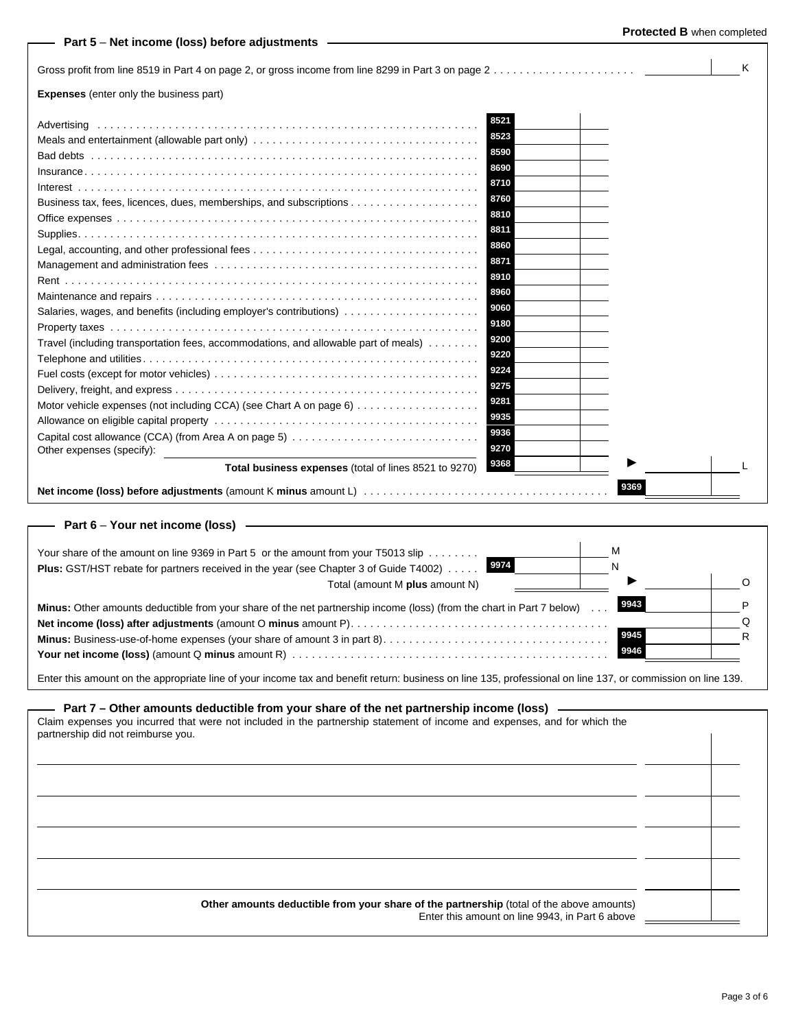| Part 5 – Net income (loss) before adjustments –                                     |              | LI <b>nreneu n</b> mirii miihiere |   |
|-------------------------------------------------------------------------------------|--------------|-----------------------------------|---|
|                                                                                     |              |                                   | K |
| <b>Expenses</b> (enter only the business part)                                      |              |                                   |   |
|                                                                                     | 8521<br>8523 |                                   |   |
| Meals and entertainment (allowable part only)                                       | 8590         |                                   |   |
|                                                                                     |              |                                   |   |
|                                                                                     | 8690         |                                   |   |
|                                                                                     | 8710         |                                   |   |
|                                                                                     | 8760         |                                   |   |
|                                                                                     | 8810         |                                   |   |
|                                                                                     | 8811         |                                   |   |
|                                                                                     | 8860         |                                   |   |
|                                                                                     | 8871         |                                   |   |
|                                                                                     | 8910         |                                   |   |
|                                                                                     | 8960         |                                   |   |
| Salaries, wages, and benefits (including employer's contributions)                  | 9060         |                                   |   |
|                                                                                     | 9180         |                                   |   |
| Travel (including transportation fees, accommodations, and allowable part of meals) | 9200         |                                   |   |
|                                                                                     | 9220         |                                   |   |
|                                                                                     | 9224         |                                   |   |
|                                                                                     | 9275         |                                   |   |
|                                                                                     | 9281         |                                   |   |
|                                                                                     | 9935         |                                   |   |
|                                                                                     | 9936         |                                   |   |
| Other expenses (specify):                                                           | 9270         |                                   |   |
| Total business expenses (total of lines 8521 to 9270)                               | 9368         |                                   |   |
|                                                                                     |              | 9369                              |   |
| Part $6 -$ Your net income (loss) $-$                                               |              |                                   |   |

| М<br>Your share of the amount on line 9369 in Part 5 or the amount from your T5013 slip $\ldots \ldots$<br>Plus: GST/HST rebate for partners received in the year (see Chapter 3 of Guide T4002) 9974 |  |
|-------------------------------------------------------------------------------------------------------------------------------------------------------------------------------------------------------|--|
| Total (amount M plus amount N)                                                                                                                                                                        |  |
| 9943<br><b>Minus:</b> Other amounts deductible from your share of the net partnership income (loss) (from the chart in Part 7 below)                                                                  |  |
|                                                                                                                                                                                                       |  |
| 9945                                                                                                                                                                                                  |  |
| 9946                                                                                                                                                                                                  |  |

Enter this amount on the appropriate line of your income tax and benefit return: business on line 135, professional on line 137, or commission on line 139.

# **Part 7 – Other amounts deductible from your share of the net partnership income (loss)**

| Claim expenses you incurred that were not included in the partnership statement of income and expenses, and for which the<br>partnership did not reimburse you. |  |
|-----------------------------------------------------------------------------------------------------------------------------------------------------------------|--|
|                                                                                                                                                                 |  |
|                                                                                                                                                                 |  |
|                                                                                                                                                                 |  |
|                                                                                                                                                                 |  |
|                                                                                                                                                                 |  |
| Other amounts deductible from your share of the partnership (total of the above amounts)<br>Enter this amount on line 9943, in Part 6 above                     |  |

**Protected B** when completed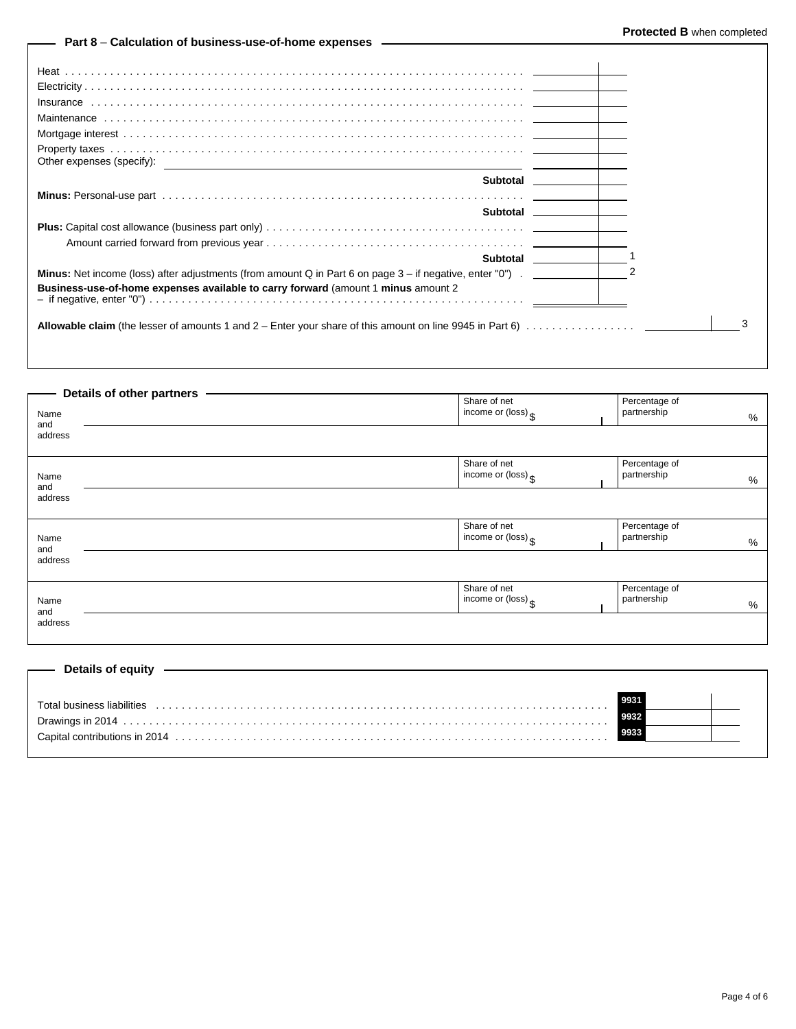## **Part 8** – **Calculation of business-use-of-home expenses**

| Other expenses (specify):                                                         | Subtotal later and the state of the state of the state of the state of the state of the state of the state of the state of the state of the state of the state of the state of the state of the state of the state of the stat |
|-----------------------------------------------------------------------------------|--------------------------------------------------------------------------------------------------------------------------------------------------------------------------------------------------------------------------------|
|                                                                                   |                                                                                                                                                                                                                                |
|                                                                                   |                                                                                                                                                                                                                                |
| Business-use-of-home expenses available to carry forward (amount 1 minus amount 2 |                                                                                                                                                                                                                                |
|                                                                                   | 3                                                                                                                                                                                                                              |

|             | Details of other partners |                                                         |                                   |  |
|-------------|---------------------------|---------------------------------------------------------|-----------------------------------|--|
| Name<br>and |                           | Share of net<br>income or (loss) $\frac{1}{3}$          | Percentage of<br>partnership<br>% |  |
| address     |                           |                                                         |                                   |  |
| Name<br>and |                           | Share of net<br>income or $(\text{loss})_{\S}$          | Percentage of<br>partnership<br>% |  |
| address     |                           |                                                         |                                   |  |
| Name<br>and |                           | Share of net<br>income or $(\text{loss})$ $\mathsf{\$}$ | Percentage of<br>partnership<br>% |  |
| address     |                           |                                                         |                                   |  |
| Name<br>and |                           | Share of net<br>income or $(\text{loss})_{\S}$          | Percentage of<br>partnership<br>% |  |
| address     |                           |                                                         |                                   |  |
|             |                           |                                                         |                                   |  |

| —— Details of equity ————  |  |
|----------------------------|--|
|                            |  |
| Total business liabilities |  |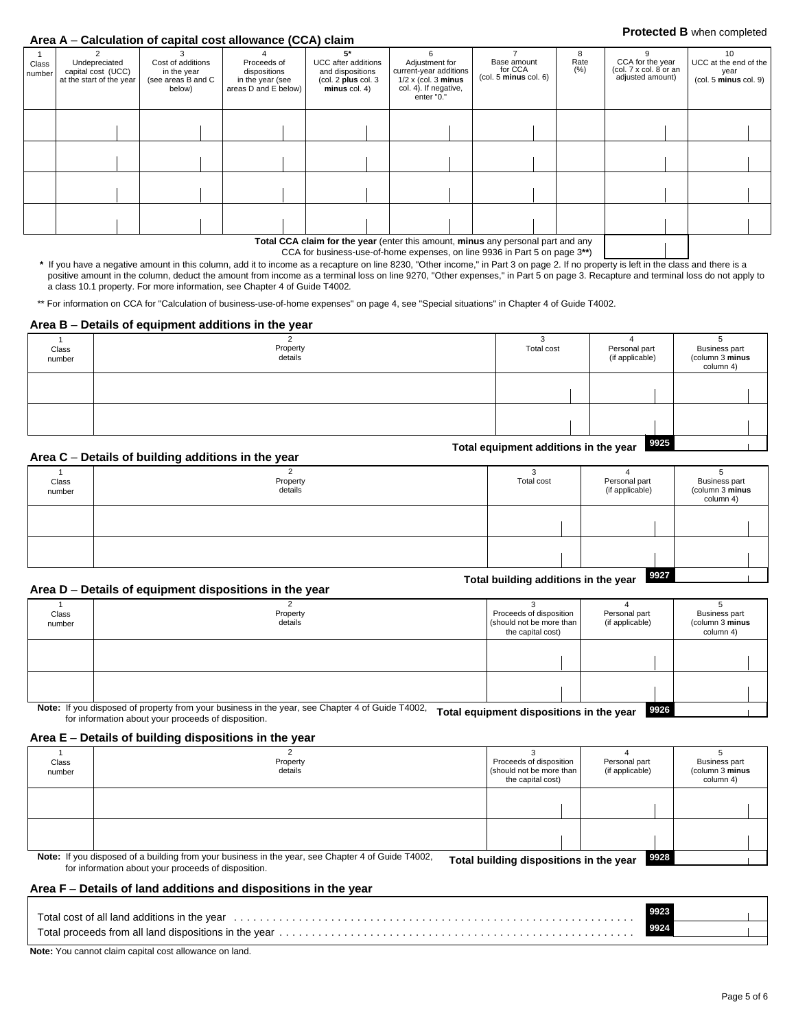# **Protected B** when completed **Area A** – **Calculation of capital cost allowance (CCA) claim**

| Class<br>number | Undepreciated<br>capital cost (UCC)<br>at the start of the year | Cost of additions<br>in the year<br>(see areas B and C<br>below) | Proceeds of<br>dispositions<br>in the year (see<br>areas D and E below) | UCC after additions<br>and dispositions<br>(col. 2 plus col. 3)<br>$minus$ col. 4) | Adjustment for<br>current-year additions<br>$1/2 \times$ (col. 3 minus<br>col. 4). If negative,<br>enter "0." | Base amount<br>for CCA<br>(col. 5 minus col. 6) | 8<br>Rate<br>(% ) | CCA for the year<br>(col. 7 x col. 8 or an<br>adjusted amount) | 10<br>UCC at the end of the<br>year<br>(col. 5 minus col. 9) |  |
|-----------------|-----------------------------------------------------------------|------------------------------------------------------------------|-------------------------------------------------------------------------|------------------------------------------------------------------------------------|---------------------------------------------------------------------------------------------------------------|-------------------------------------------------|-------------------|----------------------------------------------------------------|--------------------------------------------------------------|--|
|                 |                                                                 |                                                                  |                                                                         |                                                                                    |                                                                                                               |                                                 |                   |                                                                |                                                              |  |
|                 |                                                                 |                                                                  |                                                                         |                                                                                    |                                                                                                               |                                                 |                   |                                                                |                                                              |  |
|                 |                                                                 |                                                                  |                                                                         |                                                                                    |                                                                                                               |                                                 |                   |                                                                |                                                              |  |
|                 |                                                                 |                                                                  |                                                                         |                                                                                    |                                                                                                               |                                                 |                   |                                                                |                                                              |  |
|                 |                                                                 |                                                                  |                                                                         |                                                                                    |                                                                                                               |                                                 |                   |                                                                |                                                              |  |
|                 |                                                                 |                                                                  |                                                                         |                                                                                    |                                                                                                               |                                                 |                   |                                                                |                                                              |  |
|                 |                                                                 |                                                                  |                                                                         |                                                                                    |                                                                                                               |                                                 |                   |                                                                |                                                              |  |
|                 |                                                                 |                                                                  |                                                                         |                                                                                    | <b>Total CCA claim for the year (enter this amount minus any personal part and any</b>                        |                                                 |                   |                                                                |                                                              |  |

**Total CCA claim for the year** (enter this amount, **minus** any personal part and any

CCA for business-use-of-home expenses, on line 9936 in Part 5 on page 3**\*\***)

 **\*** If you have a negative amount in this column, add it to income as a recapture on line 8230, "Other income," in Part 3 on page 2. If no property is left in the class and there is a positive amount in the column, deduct the amount from income as a terminal loss on line 9270, "Other expenses," in Part 5 on page 3. Recapture and terminal loss do not apply to a class 10.1 property. For more information, see Chapter 4 of Guide T4002*.*

\*\* For information on CCA for "Calculation of business-use-of-home expenses" on page 4, see "Special situations" in Chapter 4 of Guide T4002.

### **Area B** – **Details of equipment additions in the year**

| Class<br>number | Property<br>details                                                                        | Total cost                            | Personal part<br>(if applicable) | <b>Business part</b><br>(column 3 minus<br>column 4) |
|-----------------|--------------------------------------------------------------------------------------------|---------------------------------------|----------------------------------|------------------------------------------------------|
|                 |                                                                                            |                                       |                                  |                                                      |
|                 |                                                                                            |                                       |                                  |                                                      |
|                 | $\mathbf{A}$ and $\mathbf{A}$ are the state of the Hallmann and Hitlerine for the contract | Total equipment additions in the year | 9925                             |                                                      |

### **Area C** – **Details of building additions in the year**

| Class<br>number | Property<br>details | Total cost                           | Personal part<br>(if applicable) | <b>Business part</b><br>(column 3 minus<br>column 4) |
|-----------------|---------------------|--------------------------------------|----------------------------------|------------------------------------------------------|
|                 |                     |                                      |                                  |                                                      |
|                 |                     |                                      |                                  |                                                      |
|                 |                     | Total building additions in the year | 9927                             |                                                      |

### **Area D** – **Details of equipment dispositions in the year**

| AI vu p         | <b>Details of equipment dispositions in the year</b>                                                      |                                                                          |                                  |                                                      |
|-----------------|-----------------------------------------------------------------------------------------------------------|--------------------------------------------------------------------------|----------------------------------|------------------------------------------------------|
| Class<br>number | Property<br>details                                                                                       | Proceeds of disposition<br>(should not be more than<br>the capital cost) | Personal part<br>(if applicable) | <b>Business part</b><br>(column 3 minus<br>column 4) |
|                 |                                                                                                           |                                                                          |                                  |                                                      |
|                 |                                                                                                           |                                                                          |                                  |                                                      |
|                 |                                                                                                           |                                                                          |                                  |                                                      |
|                 |                                                                                                           |                                                                          |                                  |                                                      |
|                 | Note: If you disposed of property from your business in the year, see Chapter 4 of Guide T4002<br>_ _ _ _ | .                                                                        | l ongell<br>.                    |                                                      |

 $\overline{\mathbf{s}}$ s in the ye If you disposed of property from your business in the year, see Chapter 4 or Guide 14002, **Total equipment dispositions in the year 9926**<br>for information about your proceeds of disposition.

### **Area E** – **Details of building dispositions in the year**

| Class<br>number | Property<br>details                                                                                                                                      | Proceeds of disposition<br>(should not be more than<br>the capital cost) | Personal part<br>(if applicable) | <b>Business part</b><br>(column 3 minus<br>column 4) |
|-----------------|----------------------------------------------------------------------------------------------------------------------------------------------------------|--------------------------------------------------------------------------|----------------------------------|------------------------------------------------------|
|                 |                                                                                                                                                          |                                                                          |                                  |                                                      |
|                 |                                                                                                                                                          |                                                                          |                                  |                                                      |
|                 | Note: If you disposed of a building from your business in the year, see Chapter 4 of Guide T4002,<br>for information about your proceeds of disposition. | Total building dispositions in the year                                  | 9928                             |                                                      |

### **Area F** – **Details of land additions and dispositions in the year**

| Total cost of all land additions in the year entertainment contained and contained and cost of all land additions in the year entertainment contained and cost of all land | 9923 |  |
|----------------------------------------------------------------------------------------------------------------------------------------------------------------------------|------|--|
| Total proceeds from all land dispositions in the year.                                                                                                                     | 9924 |  |

**Note:** You cannot claim capital cost allowance on land.